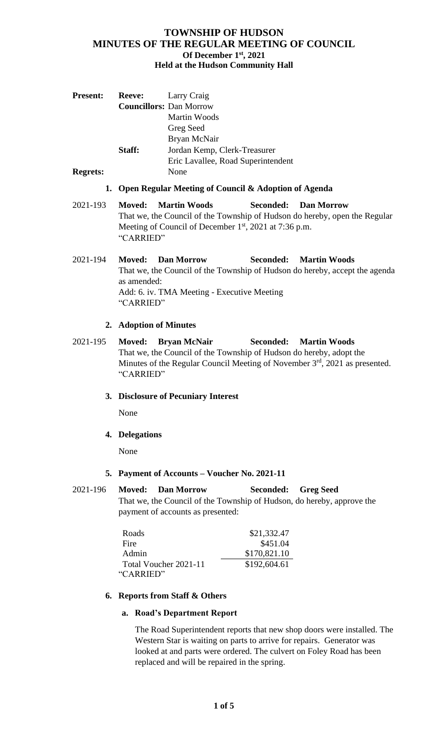| <b>Present:</b> | <b>Reeve:</b>                                                              | Larry Craig                                             |  |                                                                             |  |
|-----------------|----------------------------------------------------------------------------|---------------------------------------------------------|--|-----------------------------------------------------------------------------|--|
|                 |                                                                            | <b>Councillors: Dan Morrow</b>                          |  |                                                                             |  |
|                 |                                                                            | Martin Woods                                            |  |                                                                             |  |
|                 |                                                                            | Greg Seed                                               |  |                                                                             |  |
|                 |                                                                            | Bryan McNair                                            |  |                                                                             |  |
|                 | Staff:                                                                     | Jordan Kemp, Clerk-Treasurer                            |  |                                                                             |  |
|                 |                                                                            | Eric Lavallee, Road Superintendent                      |  |                                                                             |  |
| <b>Regrets:</b> |                                                                            | None                                                    |  |                                                                             |  |
|                 |                                                                            | 1. Open Regular Meeting of Council & Adoption of Agenda |  |                                                                             |  |
| 2021-193        | Moved:                                                                     | <b>Martin Woods</b>                                     |  | <b>Seconded:</b> Dan Morrow                                                 |  |
|                 | That we, the Council of the Township of Hudson do hereby, open the Regular |                                                         |  |                                                                             |  |
|                 | Meeting of Council of December 1 <sup>st</sup> , 2021 at 7:36 p.m.         |                                                         |  |                                                                             |  |
|                 | "CARRIED"                                                                  |                                                         |  |                                                                             |  |
| 2021-194        | Moved:                                                                     | <b>Dan Morrow</b>                                       |  | <b>Seconded:</b> Martin Woods                                               |  |
|                 |                                                                            |                                                         |  | That we, the Council of the Township of Hudson do hereby, accept the agenda |  |

That we, the Council of the Township of Hudson do hereby, accept the agenda as amended: Add: 6. iv. TMA Meeting - Executive Meeting "CARRIED"

## **2. Adoption of Minutes**

2021-195 **Moved: Bryan McNair Seconded: Martin Woods**  That we, the Council of the Township of Hudson do hereby, adopt the Minutes of the Regular Council Meeting of November 3<sup>rd</sup>, 2021 as presented. "CARRIED"

# **3. Disclosure of Pecuniary Interest**

None

# **4. Delegations**

None

### **5. Payment of Accounts – Voucher No. 2021-11**

2021-196 **Moved: Dan Morrow Seconded: Greg Seed**  That we, the Council of the Township of Hudson, do hereby, approve the payment of accounts as presented:

| Roads                 | \$21,332.47  |
|-----------------------|--------------|
| Fire                  | \$451.04     |
| Admin                 | \$170,821.10 |
| Total Voucher 2021-11 | \$192,604.61 |
| "CARRIED"             |              |

### **6. Reports from Staff & Others**

### **a. Road's Department Report**

The Road Superintendent reports that new shop doors were installed. The Western Star is waiting on parts to arrive for repairs. Generator was looked at and parts were ordered. The culvert on Foley Road has been replaced and will be repaired in the spring.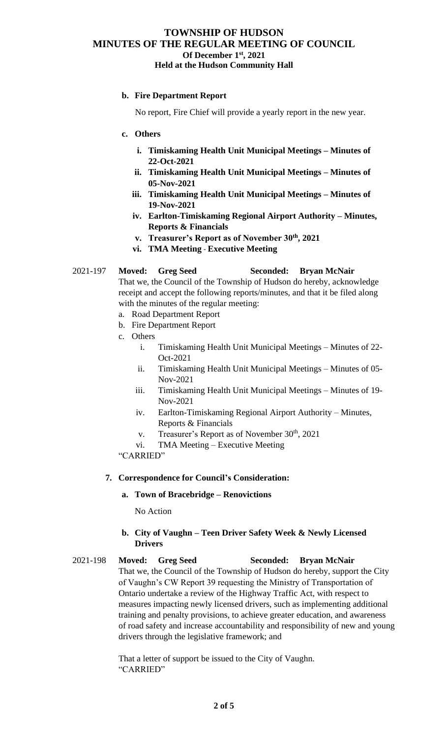## **b. Fire Department Report**

No report, Fire Chief will provide a yearly report in the new year.

### **c. Others**

- **i. Timiskaming Health Unit Municipal Meetings – Minutes of 22-Oct-2021**
- **ii. Timiskaming Health Unit Municipal Meetings – Minutes of 05-Nov-2021**
- **iii. Timiskaming Health Unit Municipal Meetings – Minutes of 19-Nov-2021**
- **iv. Earlton-Timiskaming Regional Airport Authority – Minutes, Reports & Financials**
- **v. Treasurer's Report as of November 30th, 2021**
- **vi. TMA Meeting Executive Meeting**

#### 2021-197 **Moved: Greg Seed Seconded: Bryan McNair**

That we, the Council of the Township of Hudson do hereby, acknowledge receipt and accept the following reports/minutes, and that it be filed along with the minutes of the regular meeting:

- a. Road Department Report
- b. Fire Department Report
- c. Others
	- i. Timiskaming Health Unit Municipal Meetings Minutes of 22- Oct-2021
	- ii. Timiskaming Health Unit Municipal Meetings Minutes of 05- Nov-2021
	- iii. Timiskaming Health Unit Municipal Meetings Minutes of 19- Nov-2021
	- iv. Earlton-Timiskaming Regional Airport Authority Minutes, Reports & Financials
	- v. Treasurer's Report as of November  $30<sup>th</sup>$ , 2021
	- vi. TMA Meeting Executive Meeting

"CARRIED"

### **7. Correspondence for Council's Consideration:**

#### **a. Town of Bracebridge – Renovictions**

No Action

## **b. City of Vaughn – Teen Driver Safety Week & Newly Licensed Drivers**

2021-198 **Moved: Greg Seed Seconded: Bryan McNair** That we, the Council of the Township of Hudson do hereby, support the City of Vaughn's CW Report 39 requesting the Ministry of Transportation of Ontario undertake a review of the Highway Traffic Act, with respect to measures impacting newly licensed drivers, such as implementing additional training and penalty provisions, to achieve greater education, and awareness of road safety and increase accountability and responsibility of new and young drivers through the legislative framework; and

> That a letter of support be issued to the City of Vaughn. "CARRIED"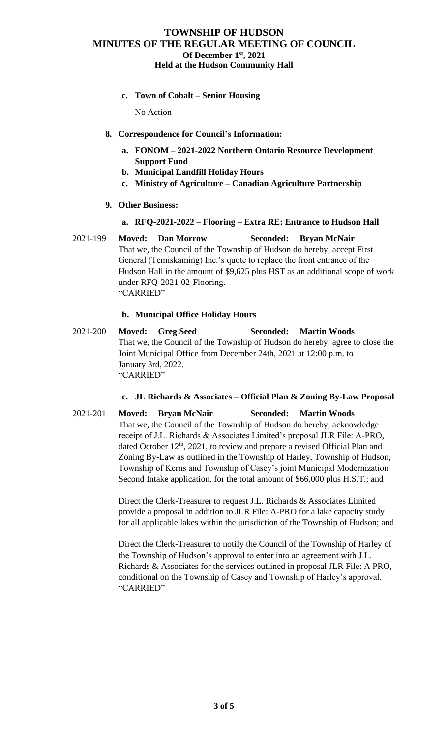**c. Town of Cobalt – Senior Housing**

No Action

- **8. Correspondence for Council's Information:**
	- **a. FONOM – 2021-2022 Northern Ontario Resource Development Support Fund**
	- **b. Municipal Landfill Holiday Hours**
	- **c. Ministry of Agriculture – Canadian Agriculture Partnership**
- **9. Other Business:**

### **a. RFQ-2021-2022 – Flooring – Extra RE: Entrance to Hudson Hall**

2021-199 **Moved: Dan Morrow Seconded: Bryan McNair** That we, the Council of the Township of Hudson do hereby, accept First General (Temiskaming) Inc.'s quote to replace the front entrance of the Hudson Hall in the amount of \$9,625 plus HST as an additional scope of work under RFQ-2021-02-Flooring. "CARRIED"

## **b. Municipal Office Holiday Hours**

2021-200 **Moved: Greg Seed Seconded: Martin Woods** That we, the Council of the Township of Hudson do hereby, agree to close the Joint Municipal Office from December 24th, 2021 at 12:00 p.m. to January 3rd, 2022. "CARRIED"

## **c. JL Richards & Associates – Official Plan & Zoning By-Law Proposal**

2021-201 **Moved: Bryan McNair Seconded: Martin Woods** That we, the Council of the Township of Hudson do hereby, acknowledge receipt of J.L. Richards & Associates Limited's proposal JLR File: A-PRO, dated October  $12<sup>th</sup>$ , 2021, to review and prepare a revised Official Plan and Zoning By-Law as outlined in the Township of Harley, Township of Hudson, Township of Kerns and Township of Casey's joint Municipal Modernization Second Intake application, for the total amount of \$66,000 plus H.S.T.; and

> Direct the Clerk-Treasurer to request J.L. Richards & Associates Limited provide a proposal in addition to JLR File: A-PRO for a lake capacity study for all applicable lakes within the jurisdiction of the Township of Hudson; and

> Direct the Clerk-Treasurer to notify the Council of the Township of Harley of the Township of Hudson's approval to enter into an agreement with J.L. Richards & Associates for the services outlined in proposal JLR File: A PRO, conditional on the Township of Casey and Township of Harley's approval. "CARRIED"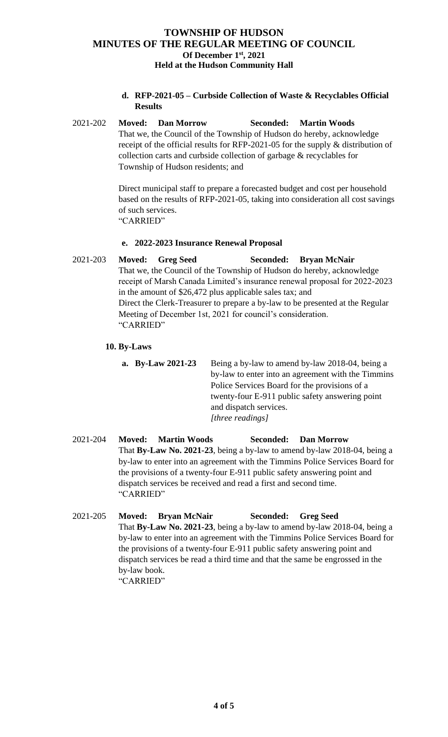**d. RFP-2021-05 – Curbside Collection of Waste & Recyclables Official Results** 

2021-202 **Moved: Dan Morrow Seconded: Martin Woods**  That we, the Council of the Township of Hudson do hereby, acknowledge receipt of the official results for RFP-2021-05 for the supply & distribution of collection carts and curbside collection of garbage & recyclables for Township of Hudson residents; and

> Direct municipal staff to prepare a forecasted budget and cost per household based on the results of RFP-2021-05, taking into consideration all cost savings of such services. "CARRIED"

# **e. 2022-2023 Insurance Renewal Proposal**

2021-203 **Moved: Greg Seed Seconded: Bryan McNair** That we, the Council of the Township of Hudson do hereby, acknowledge receipt of Marsh Canada Limited's insurance renewal proposal for 2022-2023 in the amount of \$26,472 plus applicable sales tax; and Direct the Clerk-Treasurer to prepare a by-law to be presented at the Regular Meeting of December 1st, 2021 for council's consideration. "CARRIED"

# **10. By-Laws**

- **a. By-Law 2021-23** Being a by-law to amend by-law 2018-04, being a by-law to enter into an agreement with the Timmins Police Services Board for the provisions of a twenty-four E-911 public safety answering point and dispatch services. *[three readings]*
- 2021-204 **Moved: Martin Woods Seconded: Dan Morrow** That **By-Law No. 2021-23**, being a by-law to amend by-law 2018-04, being a by-law to enter into an agreement with the Timmins Police Services Board for the provisions of a twenty-four E-911 public safety answering point and dispatch services be received and read a first and second time. "CARRIED"
- 2021-205 **Moved: Bryan McNair Seconded: Greg Seed**  That **By-Law No. 2021-23**, being a by-law to amend by-law 2018-04, being a by-law to enter into an agreement with the Timmins Police Services Board for the provisions of a twenty-four E-911 public safety answering point and dispatch services be read a third time and that the same be engrossed in the by-law book. "CARRIED"